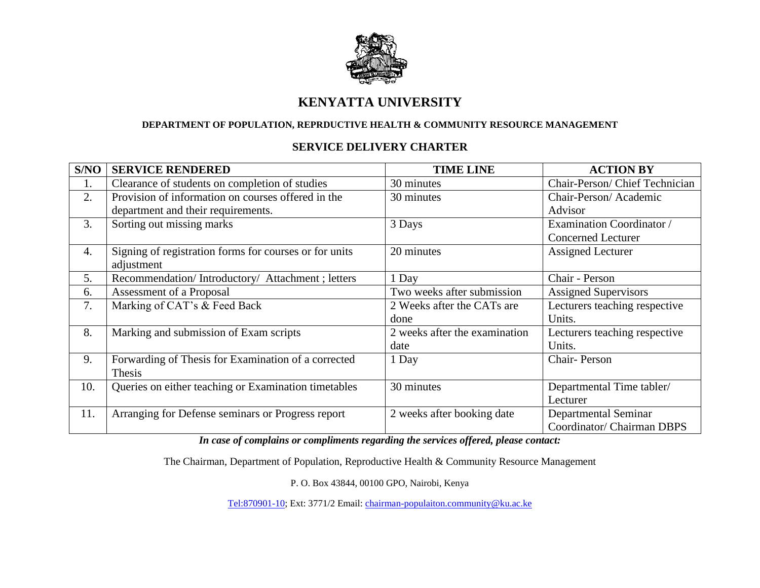

## **KENYATTA UNIVERSITY**

## **DEPARTMENT OF POPULATION, REPRDUCTIVE HEALTH & COMMUNITY RESOURCE MANAGEMENT**

## **SERVICE DELIVERY CHARTER**

| S/NO | <b>SERVICE RENDERED</b>                                | <b>TIME LINE</b>              | <b>ACTION BY</b>              |
|------|--------------------------------------------------------|-------------------------------|-------------------------------|
| ī.   | Clearance of students on completion of studies         | 30 minutes                    | Chair-Person/Chief Technician |
| 2.   | Provision of information on courses offered in the     | 30 minutes                    | Chair-Person/Academic         |
|      | department and their requirements.                     |                               | Advisor                       |
| 3.   | Sorting out missing marks                              | 3 Days                        | Examination Coordinator /     |
|      |                                                        |                               | <b>Concerned Lecturer</b>     |
| 4.   | Signing of registration forms for courses or for units | 20 minutes                    | <b>Assigned Lecturer</b>      |
|      | adjustment                                             |                               |                               |
| 5.   | Recommendation/Introductory/Attachment; letters        | 1 Day                         | Chair - Person                |
| 6.   | Assessment of a Proposal                               | Two weeks after submission    | <b>Assigned Supervisors</b>   |
| 7.   | Marking of CAT's & Feed Back                           | 2 Weeks after the CATs are    | Lecturers teaching respective |
|      |                                                        | done                          | Units.                        |
| 8.   | Marking and submission of Exam scripts                 | 2 weeks after the examination | Lecturers teaching respective |
|      |                                                        | date                          | Units.                        |
| 9.   | Forwarding of Thesis for Examination of a corrected    | 1 Day                         | Chair-Person                  |
|      | Thesis                                                 |                               |                               |
| 10.  | Queries on either teaching or Examination timetables   | 30 minutes                    | Departmental Time tabler/     |
|      |                                                        |                               | Lecturer                      |
| 11.  | Arranging for Defense seminars or Progress report      | 2 weeks after booking date    | Departmental Seminar          |
|      |                                                        |                               | Coordinator/ Chairman DBPS    |

*In case of complains or compliments regarding the services offered, please contact:*

The Chairman, Department of Population, Reproductive Health & Community Resource Management

P. O. Box 43844, 00100 GPO, Nairobi, Kenya

[Tel:870901-10;](tel:870901-10) Ext: 3771/2 Email: [chairman-populaiton.community@ku.ac.ke](mailto:chairman-populaiton.community@ku.ac.ke)